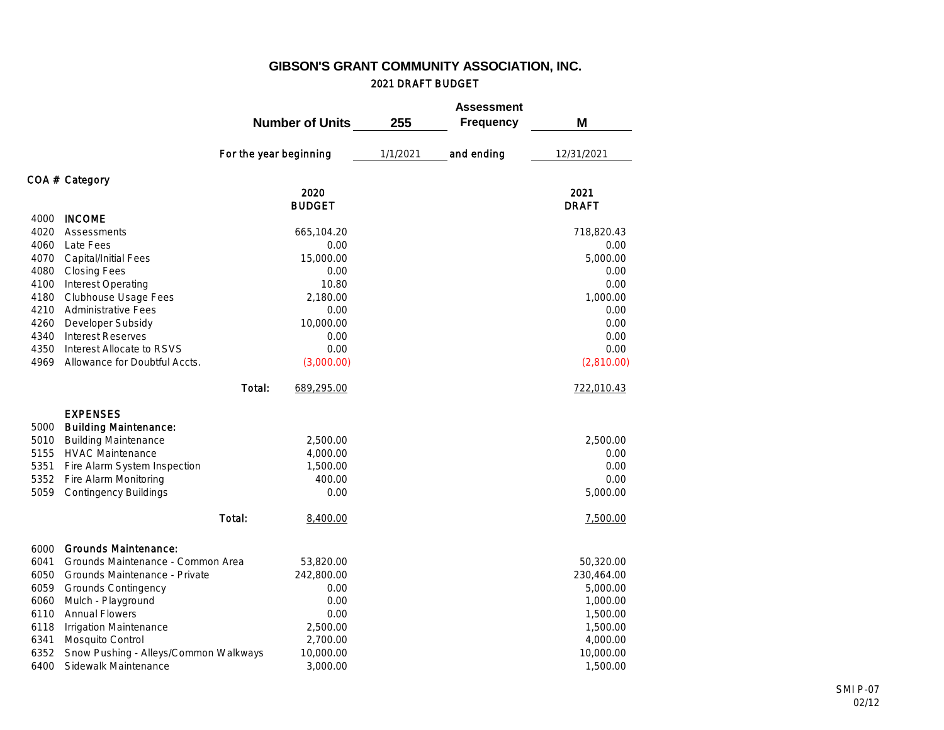## **GIBSON'S GRANT COMMUNITY ASSOCIATION, INC.** 2021 DRAFT BUDGET

|      |                                       |                        | <b>Number of Units</b> | 255      | <b>Assessment</b><br><b>Frequency</b> | M            |
|------|---------------------------------------|------------------------|------------------------|----------|---------------------------------------|--------------|
|      |                                       | For the year beginning |                        | 1/1/2021 | and ending                            | 12/31/2021   |
|      | COA # Category                        |                        |                        |          |                                       |              |
|      |                                       |                        | 2020                   |          |                                       | 2021         |
|      |                                       |                        | <b>BUDGET</b>          |          |                                       | <b>DRAFT</b> |
| 4000 | <b>INCOME</b>                         |                        |                        |          |                                       |              |
| 4020 | Assessments                           |                        | 665,104.20             |          |                                       | 718,820.43   |
| 4060 | Late Fees                             |                        | 0.00                   |          |                                       | 0.00         |
| 4070 | Capital/Initial Fees                  |                        | 15,000.00              |          |                                       | 5,000.00     |
| 4080 | <b>Closing Fees</b>                   |                        | 0.00                   |          |                                       | 0.00         |
| 4100 | Interest Operating                    |                        | 10.80                  |          |                                       | 0.00         |
| 4180 | Clubhouse Usage Fees                  |                        | 2,180.00               |          |                                       | 1,000.00     |
| 4210 | <b>Administrative Fees</b>            |                        | 0.00                   |          |                                       | 0.00         |
| 4260 | Developer Subsidy                     |                        | 10,000.00              |          |                                       | 0.00         |
| 4340 | <b>Interest Reserves</b>              |                        | 0.00                   |          |                                       | 0.00         |
| 4350 | Interest Allocate to RSVS             |                        | 0.00                   |          |                                       | 0.00         |
| 4969 | Allowance for Doubtful Accts.         |                        | (3,000.00)             |          |                                       | (2,810.00)   |
|      |                                       | Total:                 | 689,295.00             |          |                                       | 722,010.43   |
|      | <b>EXPENSES</b>                       |                        |                        |          |                                       |              |
| 5000 | <b>Building Maintenance:</b>          |                        |                        |          |                                       |              |
| 5010 | <b>Building Maintenance</b>           |                        | 2,500.00               |          |                                       | 2.500.00     |
| 5155 | <b>HVAC Maintenance</b>               |                        | 4,000.00               |          |                                       | 0.00         |
| 5351 | Fire Alarm System Inspection          |                        | 1,500.00               |          |                                       | 0.00         |
| 5352 | Fire Alarm Monitoring                 |                        | 400.00                 |          |                                       | 0.00         |
| 5059 | Contingency Buildings                 |                        | 0.00                   |          |                                       | 5,000.00     |
|      |                                       | Total:                 | 8,400.00               |          |                                       | 7,500.00     |
| 6000 | Grounds Maintenance:                  |                        |                        |          |                                       |              |
| 6041 | Grounds Maintenance - Common Area     |                        | 53,820.00              |          |                                       | 50,320.00    |
| 6050 | Grounds Maintenance - Private         |                        | 242,800.00             |          |                                       | 230,464.00   |
| 6059 | <b>Grounds Contingency</b>            |                        | 0.00                   |          |                                       | 5,000.00     |
| 6060 | Mulch - Playground                    |                        | 0.00                   |          |                                       | 1,000.00     |
| 6110 | <b>Annual Flowers</b>                 |                        | 0.00                   |          |                                       | 1,500.00     |
| 6118 | Irrigation Maintenance                |                        | 2,500.00               |          |                                       | 1,500.00     |
| 6341 | Mosquito Control                      |                        | 2,700.00               |          |                                       | 4,000.00     |
| 6352 | Snow Pushing - Alleys/Common Walkways |                        | 10,000.00              |          |                                       | 10,000.00    |
| 6400 | Sidewalk Maintenance                  |                        | 3,000.00               |          |                                       | 1,500.00     |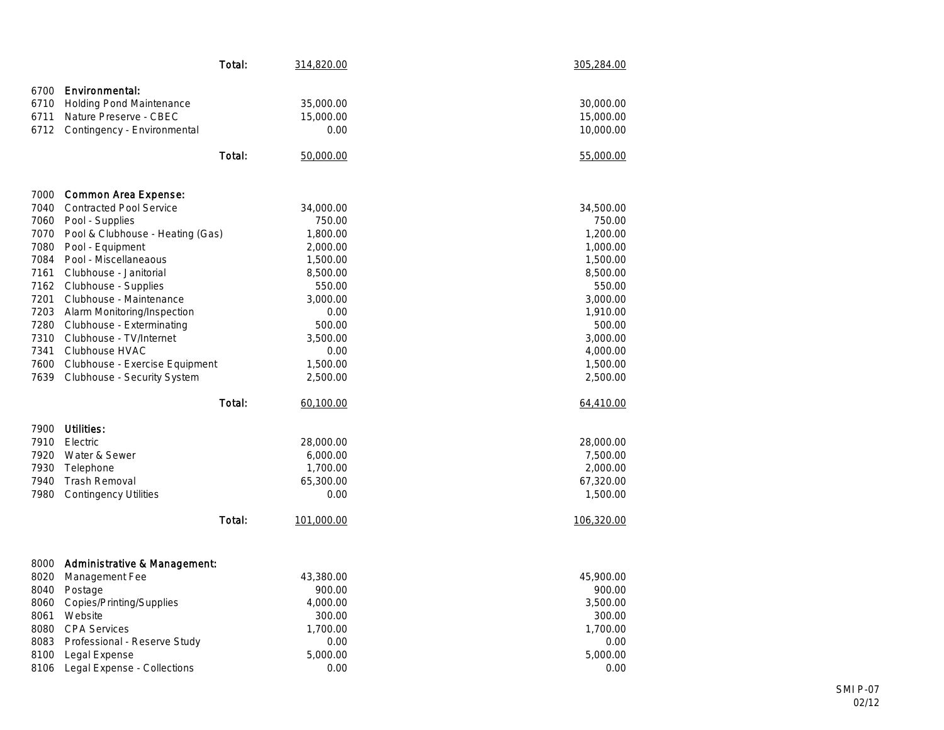|      |                                  | Total: | 314,820.00 | 305,284.00 |
|------|----------------------------------|--------|------------|------------|
| 6700 | Environmental:                   |        |            |            |
| 6710 | <b>Holding Pond Maintenance</b>  |        | 35,000.00  | 30,000.00  |
| 6711 | Nature Preserve - CBEC           |        | 15,000.00  | 15,000.00  |
| 6712 | Contingency - Environmental      |        | 0.00       | 10,000.00  |
|      |                                  |        |            |            |
|      |                                  | Total: | 50,000.00  | 55,000.00  |
| 7000 | Common Area Expense:             |        |            |            |
| 7040 | <b>Contracted Pool Service</b>   |        | 34,000.00  | 34,500.00  |
| 7060 | Pool - Supplies                  |        | 750.00     | 750.00     |
| 7070 | Pool & Clubhouse - Heating (Gas) |        | 1,800.00   | 1,200.00   |
| 7080 | Pool - Equipment                 |        | 2,000.00   | 1,000.00   |
| 7084 | Pool - Miscellaneaous            |        | 1,500.00   | 1,500.00   |
| 7161 | Clubhouse - Janitorial           |        | 8,500.00   | 8,500.00   |
| 7162 | Clubhouse - Supplies             |        | 550.00     | 550.00     |
| 7201 | Clubhouse - Maintenance          |        | 3,000.00   | 3,000.00   |
| 7203 | Alarm Monitoring/Inspection      |        | 0.00       | 1,910.00   |
| 7280 | Clubhouse - Exterminating        |        | 500.00     | 500.00     |
| 7310 | Clubhouse - TV/Internet          |        | 3,500.00   | 3,000.00   |
| 7341 | Clubhouse HVAC                   |        | 0.00       | 4,000.00   |
| 7600 | Clubhouse - Exercise Equipment   |        | 1,500.00   | 1,500.00   |
| 7639 | Clubhouse - Security System      |        | 2,500.00   | 2,500.00   |
|      |                                  | Total: | 60,100.00  | 64,410.00  |
| 7900 | Utilities:                       |        |            |            |
| 7910 | Electric                         |        | 28,000.00  | 28,000.00  |
| 7920 | Water & Sewer                    |        | 6,000.00   | 7,500.00   |
| 7930 | Telephone                        |        | 1,700.00   | 2,000.00   |
| 7940 | Trash Removal                    |        | 65,300.00  | 67,320.00  |
| 7980 | <b>Contingency Utilities</b>     |        | 0.00       | 1,500.00   |
|      |                                  | Total: | 101,000.00 | 106,320.00 |
|      |                                  |        |            |            |
| 8000 | Administrative & Management:     |        |            |            |
| 8020 | Management Fee                   |        | 43,380.00  | 45,900.00  |
| 8040 | Postage                          |        | 900.00     | 900.00     |
| 8060 | Copies/Printing/Supplies         |        | 4,000.00   | 3,500.00   |
| 8061 | Website                          |        | 300.00     | 300.00     |
| 8080 | <b>CPA Services</b>              |        | 1,700.00   | 1,700.00   |
| 8083 | Professional - Reserve Study     |        | 0.00       | 0.00       |
| 8100 | Legal Expense                    |        | 5,000.00   | 5,000.00   |
| 8106 | Legal Expense - Collections      |        | 0.00       | 0.00       |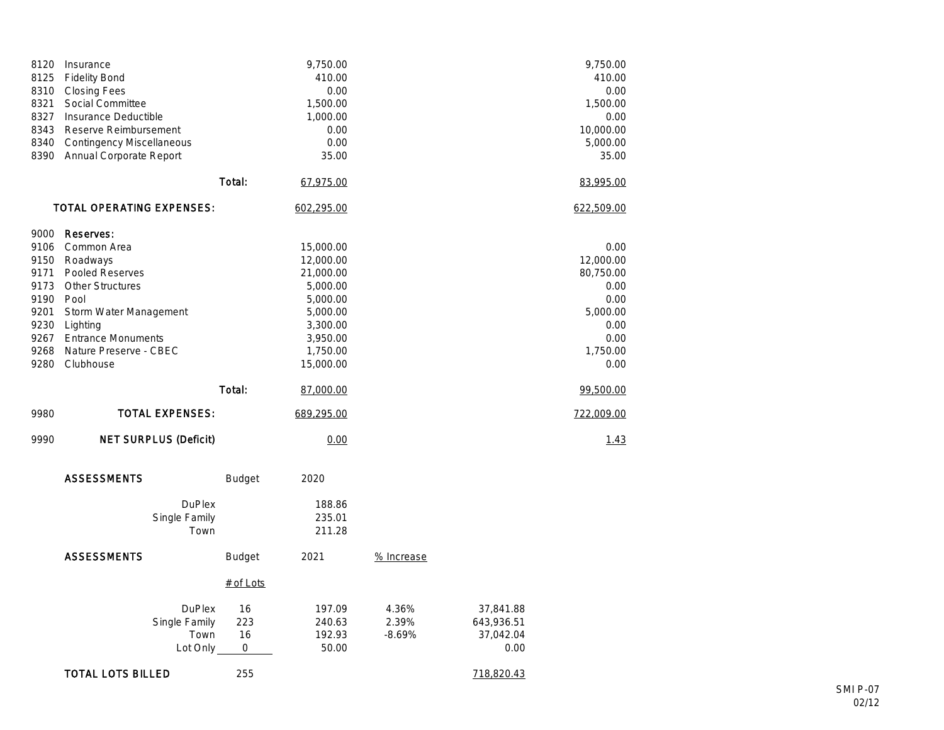| 8120<br>8125<br>8310<br>8321<br>8327<br>8343<br>8340<br>8390                      | Insurance<br><b>Fidelity Bond</b><br><b>Closing Fees</b><br>Social Committee<br>Insurance Deductible<br>Reserve Reimbursement<br><b>Contingency Miscellaneous</b><br>Annual Corporate Report |                                                    |                                        | 9,750.00<br>410.00<br>0.00<br>1,500.00<br>1,000.00<br>0.00<br>0.00<br>35.00                                              |                            |                                              | 9,750.00<br>410.00<br>0.00<br>1,500.00<br>0.00<br>10,000.00<br>5,000.00<br>35.00               |
|-----------------------------------------------------------------------------------|----------------------------------------------------------------------------------------------------------------------------------------------------------------------------------------------|----------------------------------------------------|----------------------------------------|--------------------------------------------------------------------------------------------------------------------------|----------------------------|----------------------------------------------|------------------------------------------------------------------------------------------------|
|                                                                                   |                                                                                                                                                                                              |                                                    | Total:                                 | 67,975.00                                                                                                                |                            |                                              | 83,995.00                                                                                      |
|                                                                                   | TOTAL OPERATING EXPENSES:                                                                                                                                                                    |                                                    |                                        | 602,295.00                                                                                                               |                            |                                              | 622,509.00                                                                                     |
| 9000<br>9106<br>9150<br>9171<br>9173<br>9190 Pool<br>9201<br>9230<br>9268<br>9280 | Reserves:<br>Common Area<br>Roadways<br>Pooled Reserves<br>Other Structures<br>Storm Water Management<br>Lighting<br>9267 Entrance Monuments<br>Nature Preserve - CBEC<br>Clubhouse          |                                                    |                                        | 15,000.00<br>12,000.00<br>21,000.00<br>5,000.00<br>5,000.00<br>5,000.00<br>3,300.00<br>3,950.00<br>1,750.00<br>15,000.00 |                            |                                              | 0.00<br>12,000.00<br>80,750.00<br>0.00<br>0.00<br>5,000.00<br>0.00<br>0.00<br>1,750.00<br>0.00 |
|                                                                                   |                                                                                                                                                                                              |                                                    | Total:                                 | 87,000.00                                                                                                                |                            |                                              | 99,500.00                                                                                      |
| 9980                                                                              |                                                                                                                                                                                              | <b>TOTAL EXPENSES:</b>                             |                                        | 689,295.00                                                                                                               |                            |                                              | 722,009.00                                                                                     |
| 9990                                                                              |                                                                                                                                                                                              | NET SURPLUS (Deficit)                              |                                        | 0.00                                                                                                                     |                            |                                              | 1.43                                                                                           |
|                                                                                   | <b>ASSESSMENTS</b>                                                                                                                                                                           |                                                    | <b>Budget</b>                          | 2020                                                                                                                     |                            |                                              |                                                                                                |
|                                                                                   |                                                                                                                                                                                              | <b>DuPlex</b><br>Single Family<br>Town             |                                        | 188.86<br>235.01<br>211.28                                                                                               |                            |                                              |                                                                                                |
|                                                                                   | <b>ASSESSMENTS</b>                                                                                                                                                                           |                                                    | <b>Budget</b>                          | 2021                                                                                                                     | % Increase                 |                                              |                                                                                                |
|                                                                                   |                                                                                                                                                                                              |                                                    | $#$ of Lots                            |                                                                                                                          |                            |                                              |                                                                                                |
|                                                                                   |                                                                                                                                                                                              | <b>DuPlex</b><br>Single Family<br>Town<br>Lot Only | 16<br>223<br>16<br>$\mathsf{O}\xspace$ | 197.09<br>240.63<br>192.93<br>50.00                                                                                      | 4.36%<br>2.39%<br>$-8.69%$ | 37,841.88<br>643,936.51<br>37,042.04<br>0.00 |                                                                                                |
|                                                                                   | <b>TOTAL LOTS BILLED</b>                                                                                                                                                                     |                                                    | 255                                    |                                                                                                                          |                            | 718,820.43                                   |                                                                                                |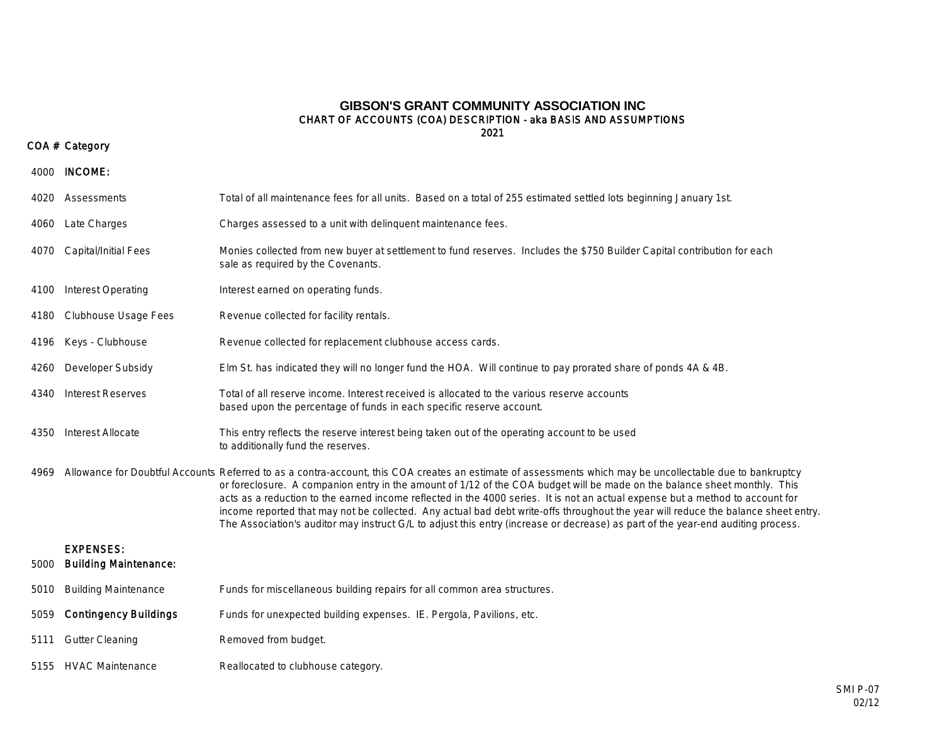### 2021 CHART OF ACCOUNTS (COA) DESCRIPTION - aka BASIS AND ASSUMPTIONS **GIBSON'S GRANT COMMUNITY ASSOCIATION INC**

### COA # Category

| 4000 | INCOME:                                          |                                                                                                                                                                                                                                                                                                                                                                                                                                                                                                                                                                                                                                                                                                    |
|------|--------------------------------------------------|----------------------------------------------------------------------------------------------------------------------------------------------------------------------------------------------------------------------------------------------------------------------------------------------------------------------------------------------------------------------------------------------------------------------------------------------------------------------------------------------------------------------------------------------------------------------------------------------------------------------------------------------------------------------------------------------------|
|      | 4020 Assessments                                 | Total of all maintenance fees for all units. Based on a total of 255 estimated settled lots beginning January 1st.                                                                                                                                                                                                                                                                                                                                                                                                                                                                                                                                                                                 |
| 4060 | Late Charges                                     | Charges assessed to a unit with delinquent maintenance fees.                                                                                                                                                                                                                                                                                                                                                                                                                                                                                                                                                                                                                                       |
| 4070 | Capital/Initial Fees                             | Monies collected from new buyer at settlement to fund reserves. Includes the \$750 Builder Capital contribution for each<br>sale as required by the Covenants.                                                                                                                                                                                                                                                                                                                                                                                                                                                                                                                                     |
| 4100 | Interest Operating                               | Interest earned on operating funds.                                                                                                                                                                                                                                                                                                                                                                                                                                                                                                                                                                                                                                                                |
| 4180 | Clubhouse Usage Fees                             | Revenue collected for facility rentals.                                                                                                                                                                                                                                                                                                                                                                                                                                                                                                                                                                                                                                                            |
| 4196 | Keys - Clubhouse                                 | Revenue collected for replacement clubhouse access cards.                                                                                                                                                                                                                                                                                                                                                                                                                                                                                                                                                                                                                                          |
| 4260 | Developer Subsidy                                | Elm St. has indicated they will no longer fund the HOA. Will continue to pay prorated share of ponds 4A & 4B.                                                                                                                                                                                                                                                                                                                                                                                                                                                                                                                                                                                      |
| 4340 | <b>Interest Reserves</b>                         | Total of all reserve income. Interest received is allocated to the various reserve accounts<br>based upon the percentage of funds in each specific reserve account.                                                                                                                                                                                                                                                                                                                                                                                                                                                                                                                                |
| 4350 | Interest Allocate                                | This entry reflects the reserve interest being taken out of the operating account to be used<br>to additionally fund the reserves.                                                                                                                                                                                                                                                                                                                                                                                                                                                                                                                                                                 |
| 4969 |                                                  | Allowance for Doubtful Accounts Referred to as a contra-account, this COA creates an estimate of assessments which may be uncollectable due to bankruptcy<br>or foreclosure. A companion entry in the amount of 1/12 of the COA budget will be made on the balance sheet monthly. This<br>acts as a reduction to the earned income reflected in the 4000 series. It is not an actual expense but a method to account for<br>income reported that may not be collected. Any actual bad debt write-offs throughout the year will reduce the balance sheet entry.<br>The Association's auditor may instruct G/L to adjust this entry (increase or decrease) as part of the year-end auditing process. |
| 5000 | <b>EXPENSES:</b><br><b>Building Maintenance:</b> |                                                                                                                                                                                                                                                                                                                                                                                                                                                                                                                                                                                                                                                                                                    |
| 5010 | <b>Building Maintenance</b>                      | Funds for miscellaneous building repairs for all common area structures.                                                                                                                                                                                                                                                                                                                                                                                                                                                                                                                                                                                                                           |
| 5059 | <b>Contingency Buildings</b>                     | Funds for unexpected building expenses. IE. Pergola, Pavilions, etc.                                                                                                                                                                                                                                                                                                                                                                                                                                                                                                                                                                                                                               |
| 5111 | <b>Gutter Cleaning</b>                           | Removed from budget.                                                                                                                                                                                                                                                                                                                                                                                                                                                                                                                                                                                                                                                                               |
|      | 5155 HVAC Maintenance                            | Reallocated to clubhouse category.                                                                                                                                                                                                                                                                                                                                                                                                                                                                                                                                                                                                                                                                 |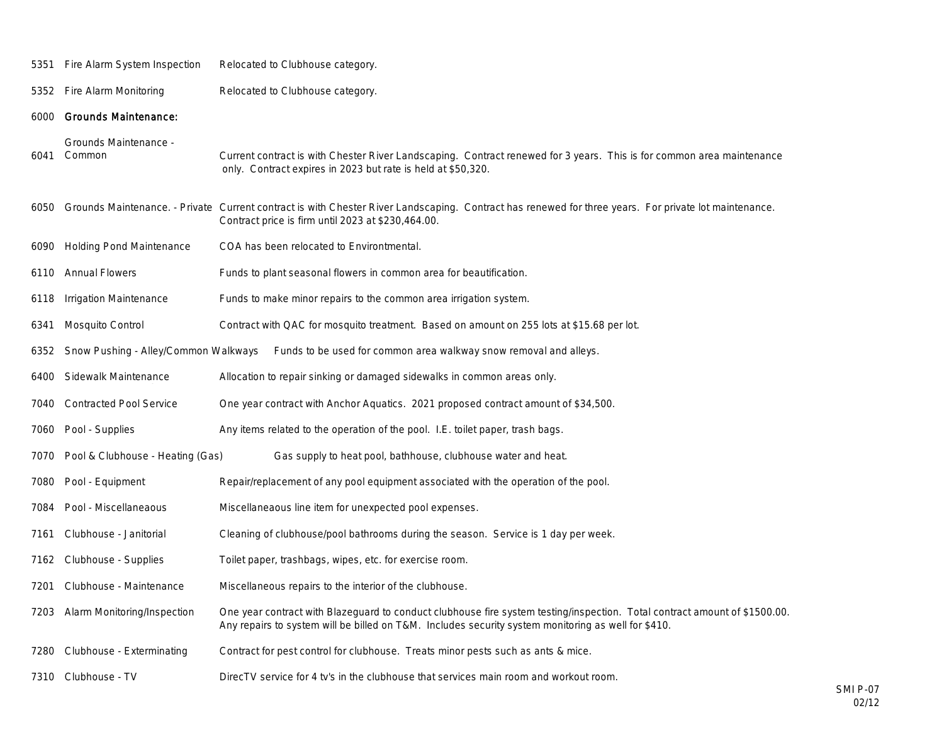Fire Alarm System Inspection Relocated to Clubhouse category.

5352 Fire Alarm Monitoring Relocated to Clubhouse category.

#### Grounds Maintenance:

Grounds Maintenance -

- Common Current contract is with Chester River Landscaping. Contract renewed for 3 years. This is for common area maintenance only. Contract expires in 2023 but rate is held at \$50,320.
- Grounds Maintenance. Private Current contract is with Chester River Landscaping. Contract has renewed for three years. For private lot maintenance. Contract price is firm until 2023 at \$230,464.00.
- Holding Pond Maintenance COA has been relocated to Environtmental.
- Annual Flowers Funds to plant seasonal flowers in common area for beautification.
- Irrigation Maintenance Funds to make minor repairs to the common area irrigation system.
- Mosquito Control Contract with QAC for mosquito treatment. Based on amount on 255 lots at \$15.68 per lot.
- Snow Pushing Alley/Common Walkways Funds to be used for common area walkway snow removal and alleys.
- 6400 Sidewalk Maintenance Allocation to repair sinking or damaged sidewalks in common areas only.
- Contracted Pool Service One year contract with Anchor Aquatics. 2021 proposed contract amount of \$34,500.
- 7060 Pool Supplies Any items related to the operation of the pool. I.E. toilet paper, trash bags.
- Pool & Clubhouse Heating (Gas) Gas supply to heat pool, bathhouse, clubhouse water and heat.
- Pool Equipment Repair/replacement of any pool equipment associated with the operation of the pool.
- Pool Miscellaneaous Miscellaneaous line item for unexpected pool expenses.
- Clubhouse Janitorial Cleaning of clubhouse/pool bathrooms during the season. Service is 1 day per week.
- 7162 Clubhouse Supplies Toilet paper, trashbags, wipes, etc. for exercise room.
- Clubhouse Maintenance Miscellaneous repairs to the interior of the clubhouse.
- Alarm Monitoring/Inspection One year contract with Blazeguard to conduct clubhouse fire system testing/inspection. Total contract amount of \$1500.00. Any repairs to system will be billed on T&M. Includes security system monitoring as well for \$410.
- Clubhouse Exterminating Contract for pest control for clubhouse. Treats minor pests such as ants & mice.
- Clubhouse TV DirecTV service for 4 tv's in the clubhouse that services main room and workout room.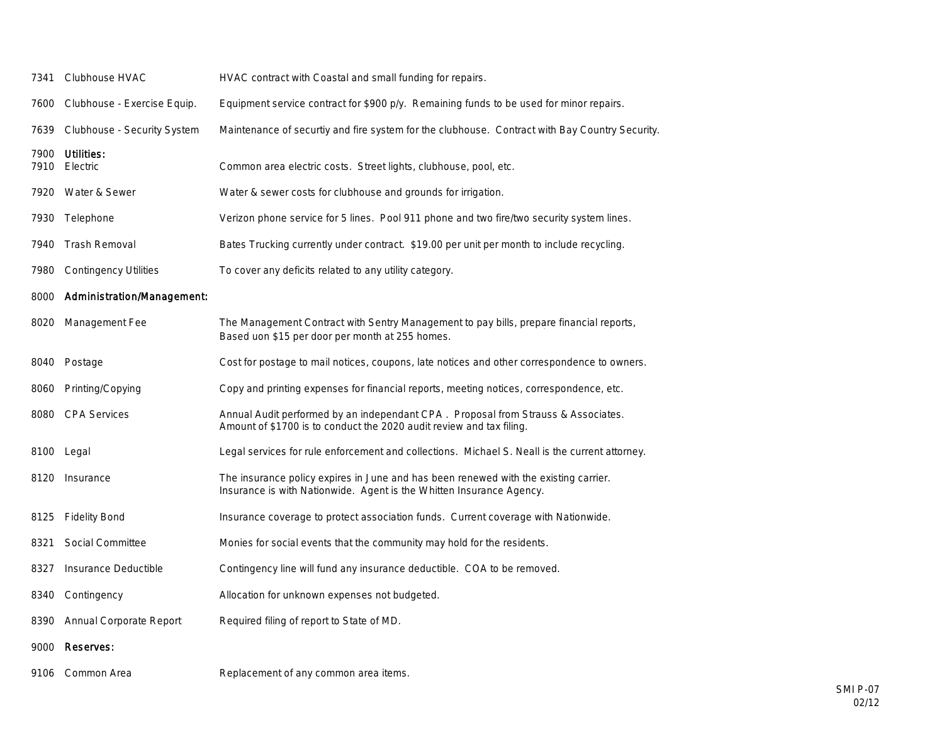| 7341 | Clubhouse HVAC                   | HVAC contract with Coastal and small funding for repairs.                                                                                                    |
|------|----------------------------------|--------------------------------------------------------------------------------------------------------------------------------------------------------------|
|      | 7600 Clubhouse - Exercise Equip. | Equipment service contract for \$900 p/y. Remaining funds to be used for minor repairs.                                                                      |
| 7639 | Clubhouse - Security System      | Maintenance of securtiy and fire system for the clubhouse. Contract with Bay Country Security.                                                               |
| 7900 | Utilities:<br>7910 Electric      | Common area electric costs. Street lights, clubhouse, pool, etc.                                                                                             |
|      | 7920 Water & Sewer               | Water & sewer costs for clubhouse and grounds for irrigation.                                                                                                |
|      | 7930 Telephone                   | Verizon phone service for 5 lines. Pool 911 phone and two fire/two security system lines.                                                                    |
|      | 7940 Trash Removal               | Bates Trucking currently under contract. \$19.00 per unit per month to include recycling.                                                                    |
| 7980 | <b>Contingency Utilities</b>     | To cover any deficits related to any utility category.                                                                                                       |
| 8000 | Administration/Management:       |                                                                                                                                                              |
| 8020 | Management Fee                   | The Management Contract with Sentry Management to pay bills, prepare financial reports,<br>Based uon \$15 per door per month at 255 homes.                   |
| 8040 | Postage                          | Cost for postage to mail notices, coupons, late notices and other correspondence to owners.                                                                  |
| 8060 | Printing/Copying                 | Copy and printing expenses for financial reports, meeting notices, correspondence, etc.                                                                      |
| 8080 | <b>CPA Services</b>              | Annual Audit performed by an independant CPA. Proposal from Strauss & Associates.<br>Amount of \$1700 is to conduct the 2020 audit review and tax filing.    |
|      | 8100 Legal                       | Legal services for rule enforcement and collections. Michael S. Neall is the current attorney.                                                               |
|      | 8120 Insurance                   | The insurance policy expires in June and has been renewed with the existing carrier.<br>Insurance is with Nationwide. Agent is the Whitten Insurance Agency. |
| 8125 | <b>Fidelity Bond</b>             | Insurance coverage to protect association funds. Current coverage with Nationwide.                                                                           |
| 8321 | Social Committee                 | Monies for social events that the community may hold for the residents.                                                                                      |
| 8327 | Insurance Deductible             | Contingency line will fund any insurance deductible. COA to be removed.                                                                                      |
| 8340 | Contingency                      | Allocation for unknown expenses not budgeted.                                                                                                                |
| 8390 | Annual Corporate Report          | Required filing of report to State of MD.                                                                                                                    |
| 9000 | Reserves:                        |                                                                                                                                                              |
|      | 9106 Common Area                 | Replacement of any common area items.                                                                                                                        |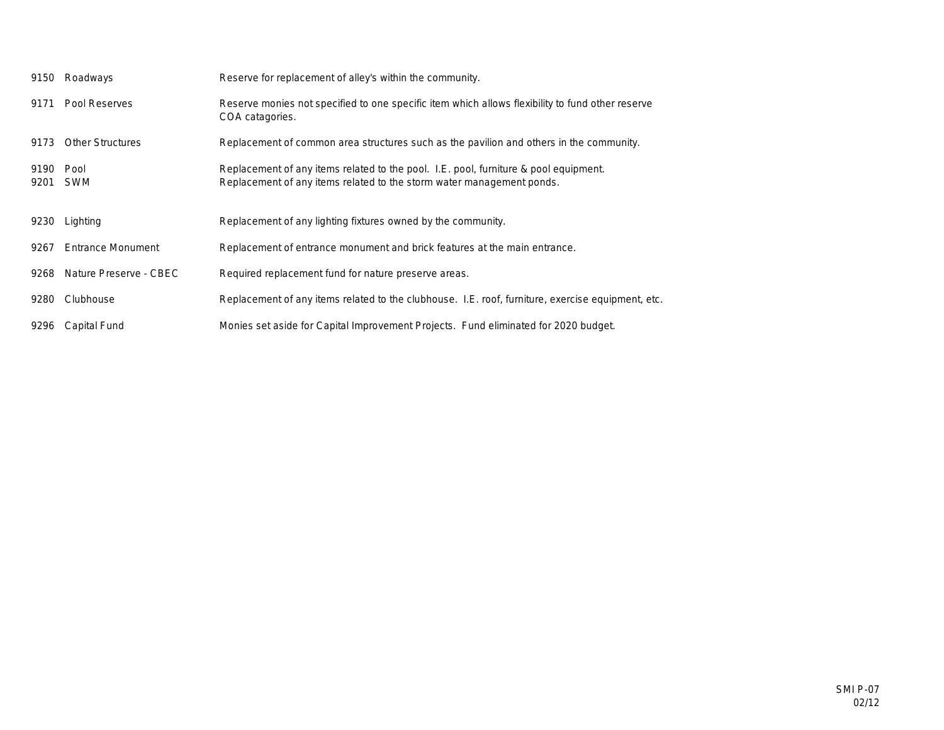| 9150         | Roadways                    | Reserve for replacement of alley's within the community.                                                                                                      |
|--------------|-----------------------------|---------------------------------------------------------------------------------------------------------------------------------------------------------------|
| 9171         | Pool Reserves               | Reserve monies not specified to one specific item which allows flexibility to fund other reserve<br>COA catagories.                                           |
| 9173         | <b>Other Structures</b>     | Replacement of common area structures such as the pavilion and others in the community.                                                                       |
| 9190<br>9201 | Pool<br><b>SWM</b>          | Replacement of any items related to the pool. I.E. pool, furniture & pool equipment.<br>Replacement of any items related to the storm water management ponds. |
| 9230         | Lighting                    | Replacement of any lighting fixtures owned by the community.                                                                                                  |
| 9267         | Entrance Monument           | Replacement of entrance monument and brick features at the main entrance.                                                                                     |
|              | 9268 Nature Preserve - CBEC | Required replacement fund for nature preserve areas.                                                                                                          |
| 9280         | Clubhouse                   | Replacement of any items related to the clubhouse. I.E. roof, furniture, exercise equipment, etc.                                                             |
| 9296         | Capital Fund                | Monies set aside for Capital Improvement Projects. Fund eliminated for 2020 budget.                                                                           |